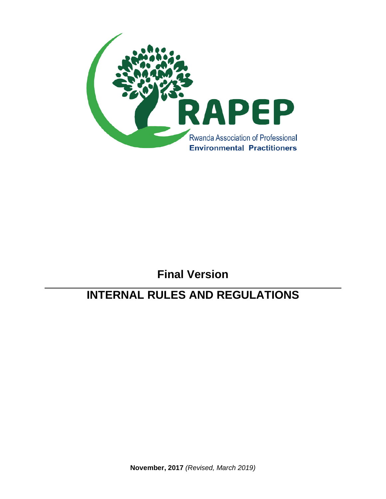

# **Final Version**

# **INTERNAL RULES AND REGULATIONS**

**November, 2017** *(Revised, March 2019)*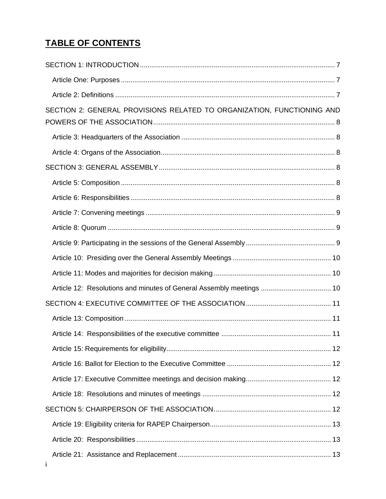# **TABLE OF CONTENTS**

| SECTION 2: GENERAL PROVISIONS RELATED TO ORGANIZATION, FUNCTIONING AND |  |
|------------------------------------------------------------------------|--|
|                                                                        |  |
|                                                                        |  |
|                                                                        |  |
|                                                                        |  |
|                                                                        |  |
|                                                                        |  |
|                                                                        |  |
|                                                                        |  |
|                                                                        |  |
|                                                                        |  |
| Article 12: Resolutions and minutes of General Assembly meetings  10   |  |
|                                                                        |  |
|                                                                        |  |
|                                                                        |  |
|                                                                        |  |
|                                                                        |  |
|                                                                        |  |
|                                                                        |  |
|                                                                        |  |
|                                                                        |  |
|                                                                        |  |
|                                                                        |  |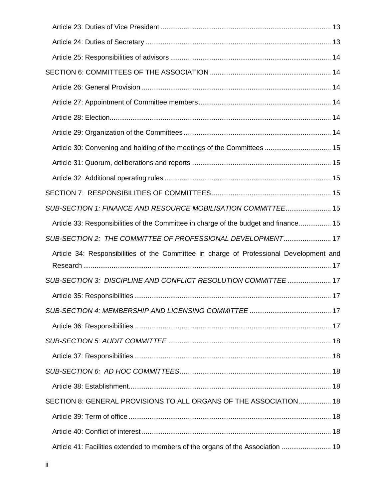| Article 30: Convening and holding of the meetings of the Committees  15                 |  |
|-----------------------------------------------------------------------------------------|--|
|                                                                                         |  |
|                                                                                         |  |
|                                                                                         |  |
| SUB-SECTION 1: FINANCE AND RESOURCE MOBILISATION COMMITTEE 15                           |  |
| Article 33: Responsibilities of the Committee in charge of the budget and finance 15    |  |
| SUB-SECTION 2: THE COMMITTEE OF PROFESSIONAL DEVELOPMENT 17                             |  |
| Article 34: Responsibilities of the Committee in charge of Professional Development and |  |
| SUB-SECTION 3: DISCIPLINE AND CONFLICT RESOLUTION COMMITTEE 17                          |  |
|                                                                                         |  |
|                                                                                         |  |
|                                                                                         |  |
|                                                                                         |  |
|                                                                                         |  |
|                                                                                         |  |
|                                                                                         |  |
| SECTION 8: GENERAL PROVISIONS TO ALL ORGANS OF THE ASSOCIATION 18                       |  |
|                                                                                         |  |
|                                                                                         |  |
| Article 41: Facilities extended to members of the organs of the Association  19         |  |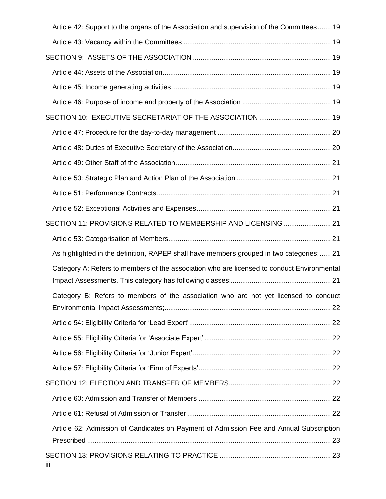|                | Article 42: Support to the organs of the Association and supervision of the Committees 19  |  |
|----------------|--------------------------------------------------------------------------------------------|--|
|                |                                                                                            |  |
|                |                                                                                            |  |
|                |                                                                                            |  |
|                |                                                                                            |  |
|                |                                                                                            |  |
|                |                                                                                            |  |
|                |                                                                                            |  |
|                |                                                                                            |  |
|                |                                                                                            |  |
|                |                                                                                            |  |
|                |                                                                                            |  |
|                |                                                                                            |  |
|                | SECTION 11: PROVISIONS RELATED TO MEMBERSHIP AND LICENSING  21                             |  |
|                |                                                                                            |  |
|                | As highlighted in the definition, RAPEP shall have members grouped in two categories;  21  |  |
|                | Category A: Refers to members of the association who are licensed to conduct Environmental |  |
|                |                                                                                            |  |
|                | Category B: Refers to members of the association who are not yet licensed to conduct       |  |
|                |                                                                                            |  |
|                |                                                                                            |  |
|                |                                                                                            |  |
|                |                                                                                            |  |
|                |                                                                                            |  |
|                |                                                                                            |  |
|                |                                                                                            |  |
|                | Article 62: Admission of Candidates on Payment of Admission Fee and Annual Subscription    |  |
| $\mathbf{III}$ |                                                                                            |  |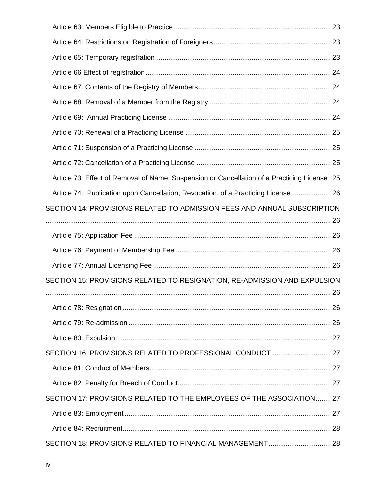| Article 73: Effect of Removal of Name, Suspension or Cancellation of a Practicing License. 25 |  |
|-----------------------------------------------------------------------------------------------|--|
| Article 74: Publication upon Cancellation, Revocation, of a Practicing License  26            |  |
| SECTION 14: PROVISIONS RELATED TO ADMISSION FEES AND ANNUAL SUBSCRIPTION                      |  |
|                                                                                               |  |
|                                                                                               |  |
|                                                                                               |  |
| SECTION 15: PROVISIONS RELATED TO RESIGNATION, RE-ADMISSION AND EXPULSION                     |  |
|                                                                                               |  |
|                                                                                               |  |
|                                                                                               |  |
| SECTION 16: PROVISIONS RELATED TO PROFESSIONAL CONDUCT  27                                    |  |
|                                                                                               |  |
|                                                                                               |  |
| SECTION 17: PROVISIONS RELATED TO THE EMPLOYEES OF THE ASSOCIATION 27                         |  |
|                                                                                               |  |
|                                                                                               |  |
| SECTION 18: PROVISIONS RELATED TO FINANCIAL MANAGEMENT 28                                     |  |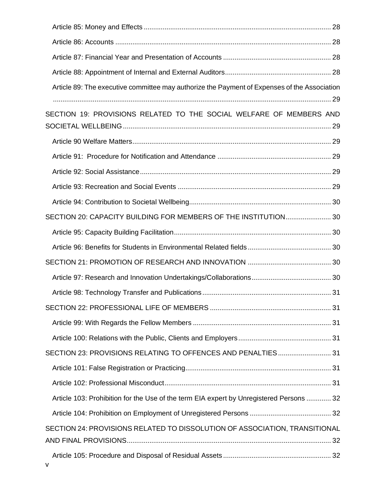| Article 89: The executive committee may authorize the Payment of Expenses of the Association |  |
|----------------------------------------------------------------------------------------------|--|
| SECTION 19: PROVISIONS RELATED TO THE SOCIAL WELFARE OF MEMBERS AND                          |  |
|                                                                                              |  |
|                                                                                              |  |
|                                                                                              |  |
|                                                                                              |  |
|                                                                                              |  |
|                                                                                              |  |
| SECTION 20: CAPACITY BUILDING FOR MEMBERS OF THE INSTITUTION 30                              |  |
|                                                                                              |  |
|                                                                                              |  |
|                                                                                              |  |
|                                                                                              |  |
|                                                                                              |  |
|                                                                                              |  |
|                                                                                              |  |
|                                                                                              |  |
| SECTION 23: PROVISIONS RELATING TO OFFENCES AND PENALTIES 31                                 |  |
|                                                                                              |  |
|                                                                                              |  |
| Article 103: Prohibition for the Use of the term EIA expert by Unregistered Persons  32      |  |
|                                                                                              |  |
| SECTION 24: PROVISIONS RELATED TO DISSOLUTION OF ASSOCIATION, TRANSITIONAL                   |  |
|                                                                                              |  |
|                                                                                              |  |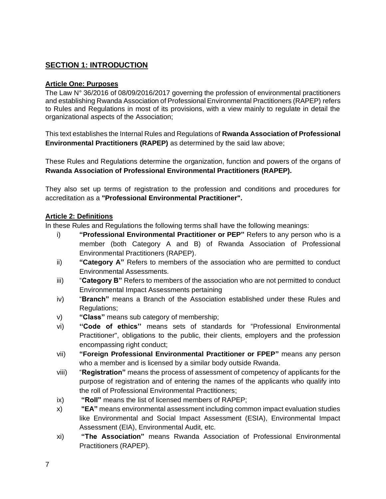# **SECTION 1: INTRODUCTION**

#### **Article One: Purposes**

The Law N° 36/2016 of 08/09/2016/2017 governing the profession of environmental practitioners and establishing Rwanda Association of Professional Environmental Practitioners (RAPEP) refers to Rules and Regulations in most of its provisions, with a view mainly to regulate in detail the organizational aspects of the Association;

This text establishes the Internal Rules and Regulations of **Rwanda Association of Professional Environmental Practitioners (RAPEP)** as determined by the said law above;

These Rules and Regulations determine the organization, function and powers of the organs of **Rwanda Association of Professional Environmental Practitioners (RAPEP).**

They also set up terms of registration to the profession and conditions and procedures for accreditation as a **"Professional Environmental Practitioner".**

#### **Article 2: Definitions**

In these Rules and Regulations the following terms shall have the following meanings:

- i) **"Professional Environmental Practitioner or PEP"** Refers to any person who is a member (both Category A and B) of Rwanda Association of Professional Environmental Practitioners (RAPEP).
- ii) **"Category A"** Refers to members of the association who are permitted to conduct Environmental Assessments.
- iii) "**Category B"** Refers to members of the association who are not permitted to conduct Environmental Impact Assessments pertaining
- iv) "**Branch"** means a Branch of the Association established under these Rules and Regulations;
- v) **"Class"** means sub category of membership;
- vi) **''Code of ethics''** means sets of standards for "Professional Environmental Practitioner", obligations to the public, their clients, employers and the profession encompassing right conduct;
- vii) **"Foreign Professional Environmental Practitioner or FPEP"** means any person who a member and is licensed by a similar body outside Rwanda.
- viii) "**Registration"** means the process of assessment of competency of applicants for the purpose of registration and of entering the names of the applicants who qualify into the roll of Professional Environmental Practitioners;
- ix) **"Roll"** means the list of licensed members of RAPEP;
- x) **"EA"** means environmental assessment including common impact evaluation studies like Environmental and Social Impact Assessment (ESIA), Environmental Impact Assessment (EIA), Environmental Audit, etc.
- xi) **"The Association"** means Rwanda Association of Professional Environmental Practitioners (RAPEP).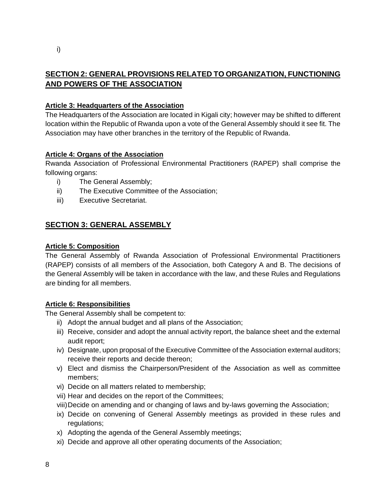# **SECTION 2: GENERAL PROVISIONS RELATED TO ORGANIZATION, FUNCTIONING AND POWERS OF THE ASSOCIATION**

## **Article 3: Headquarters of the Association**

The Headquarters of the Association are located in Kigali city; however may be shifted to different location within the Republic of Rwanda upon a vote of the General Assembly should it see fit. The Association may have other branches in the territory of the Republic of Rwanda.

#### **Article 4: Organs of the Association**

Rwanda Association of Professional Environmental Practitioners (RAPEP) shall comprise the following organs:

- i) The General Assembly;
- ii) The Executive Committee of the Association;
- iii) Executive Secretariat.

# **SECTION 3: GENERAL ASSEMBLY**

#### **Article 5: Composition**

The General Assembly of Rwanda Association of Professional Environmental Practitioners (RAPEP) consists of all members of the Association, both Category A and B. The decisions of the General Assembly will be taken in accordance with the law, and these Rules and Regulations are binding for all members.

#### **Article 6: Responsibilities**

The General Assembly shall be competent to:

- ii) Adopt the annual budget and all plans of the Association;
- iii) Receive, consider and adopt the annual activity report, the balance sheet and the external audit report;
- iv) Designate, upon proposal of the Executive Committee of the Association external auditors; receive their reports and decide thereon;
- v) Elect and dismiss the Chairperson/President of the Association as well as committee members;
- vi) Decide on all matters related to membership;
- vii) Hear and decides on the report of the Committees;
- viii)Decide on amending and or changing of laws and by-laws governing the Association;
- ix) Decide on convening of General Assembly meetings as provided in these rules and regulations;
- x) Adopting the agenda of the General Assembly meetings;
- xi) Decide and approve all other operating documents of the Association;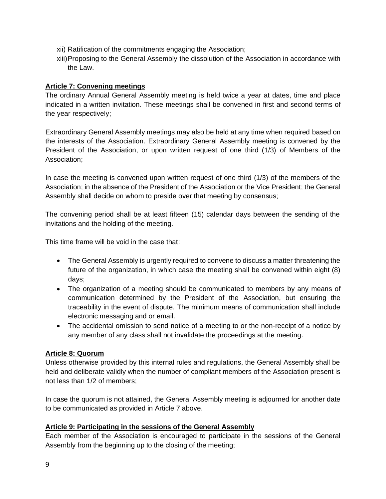- xii) Ratification of the commitments engaging the Association;
- xiii)Proposing to the General Assembly the dissolution of the Association in accordance with the Law.

#### **Article 7: Convening meetings**

The ordinary Annual General Assembly meeting is held twice a year at dates, time and place indicated in a written invitation. These meetings shall be convened in first and second terms of the year respectively;

Extraordinary General Assembly meetings may also be held at any time when required based on the interests of the Association. Extraordinary General Assembly meeting is convened by the President of the Association, or upon written request of one third (1/3) of Members of the Association;

In case the meeting is convened upon written request of one third (1/3) of the members of the Association; in the absence of the President of the Association or the Vice President; the General Assembly shall decide on whom to preside over that meeting by consensus;

The convening period shall be at least fifteen (15) calendar days between the sending of the invitations and the holding of the meeting.

This time frame will be void in the case that:

- The General Assembly is urgently required to convene to discuss a matter threatening the future of the organization, in which case the meeting shall be convened within eight (8) days;
- The organization of a meeting should be communicated to members by any means of communication determined by the President of the Association, but ensuring the traceability in the event of dispute. The minimum means of communication shall include electronic messaging and or email.
- The accidental omission to send notice of a meeting to or the non-receipt of a notice by any member of any class shall not invalidate the proceedings at the meeting.

## **Article 8: Quorum**

Unless otherwise provided by this internal rules and regulations, the General Assembly shall be held and deliberate validly when the number of compliant members of the Association present is not less than 1/2 of members;

In case the quorum is not attained, the General Assembly meeting is adjourned for another date to be communicated as provided in Article 7 above.

## **Article 9: Participating in the sessions of the General Assembly**

Each member of the Association is encouraged to participate in the sessions of the General Assembly from the beginning up to the closing of the meeting;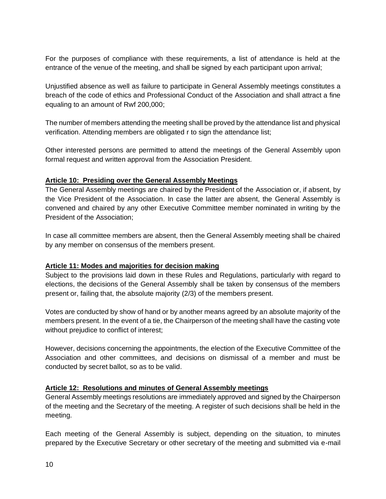For the purposes of compliance with these requirements, a list of attendance is held at the entrance of the venue of the meeting, and shall be signed by each participant upon arrival;

Unjustified absence as well as failure to participate in General Assembly meetings constitutes a breach of the code of ethics and Professional Conduct of the Association and shall attract a fine equaling to an amount of Rwf 200,000;

The number of members attending the meeting shall be proved by the attendance list and physical verification. Attending members are obligated r to sign the attendance list;

Other interested persons are permitted to attend the meetings of the General Assembly upon formal request and written approval from the Association President.

#### **Article 10: Presiding over the General Assembly Meetings**

The General Assembly meetings are chaired by the President of the Association or, if absent, by the Vice President of the Association. In case the latter are absent, the General Assembly is convened and chaired by any other Executive Committee member nominated in writing by the President of the Association;

In case all committee members are absent, then the General Assembly meeting shall be chaired by any member on consensus of the members present.

#### **Article 11: Modes and majorities for decision making**

Subject to the provisions laid down in these Rules and Regulations, particularly with regard to elections, the decisions of the General Assembly shall be taken by consensus of the members present or, failing that, the absolute majority (2/3) of the members present.

Votes are conducted by show of hand or by another means agreed by an absolute majority of the members present. In the event of a tie, the Chairperson of the meeting shall have the casting vote without prejudice to conflict of interest;

However, decisions concerning the appointments, the election of the Executive Committee of the Association and other committees, and decisions on dismissal of a member and must be conducted by secret ballot, so as to be valid.

#### **Article 12: Resolutions and minutes of General Assembly meetings**

General Assembly meetings resolutions are immediately approved and signed by the Chairperson of the meeting and the Secretary of the meeting. A register of such decisions shall be held in the meeting.

Each meeting of the General Assembly is subject, depending on the situation, to minutes prepared by the Executive Secretary or other secretary of the meeting and submitted via e-mail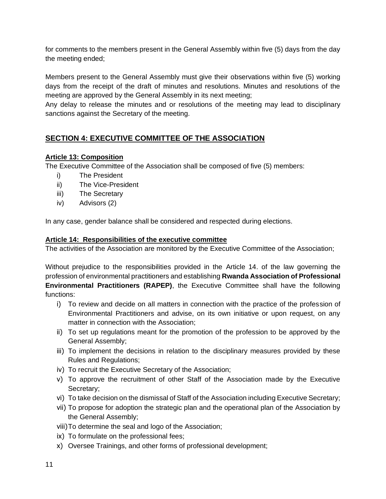for comments to the members present in the General Assembly within five (5) days from the day the meeting ended;

Members present to the General Assembly must give their observations within five (5) working days from the receipt of the draft of minutes and resolutions. Minutes and resolutions of the meeting are approved by the General Assembly in its next meeting;

Any delay to release the minutes and or resolutions of the meeting may lead to disciplinary sanctions against the Secretary of the meeting.

# **SECTION 4: EXECUTIVE COMMITTEE OF THE ASSOCIATION**

#### **Article 13: Composition**

The Executive Committee of the Association shall be composed of five (5) members:

- i) The President
- ii) The Vice-President
- iii) The Secretary
- iv) Advisors (2)

In any case, gender balance shall be considered and respected during elections.

#### **Article 14: Responsibilities of the executive committee**

The activities of the Association are monitored by the Executive Committee of the Association;

Without prejudice to the responsibilities provided in the Article 14. of the law governing the profession of environmental practitioners and establishing **Rwanda Association of Professional Environmental Practitioners (RAPEP)**, the Executive Committee shall have the following functions:

- i) To review and decide on all matters in connection with the practice of the profession of Environmental Practitioners and advise, on its own initiative or upon request, on any matter in connection with the Association;
- ii) To set up regulations meant for the promotion of the profession to be approved by the General Assembly;
- iii) To implement the decisions in relation to the disciplinary measures provided by these Rules and Regulations;
- iv) To recruit the Executive Secretary of the Association;
- v) To approve the recruitment of other Staff of the Association made by the Executive Secretary;
- vi) To take decision on the dismissal of Staff of the Association including Executive Secretary;
- vii) To propose for adoption the strategic plan and the operational plan of the Association by the General Assembly;
- viii)To determine the seal and logo of the Association;
- ix) To formulate on the professional fees;
- x) Oversee Trainings, and other forms of professional development;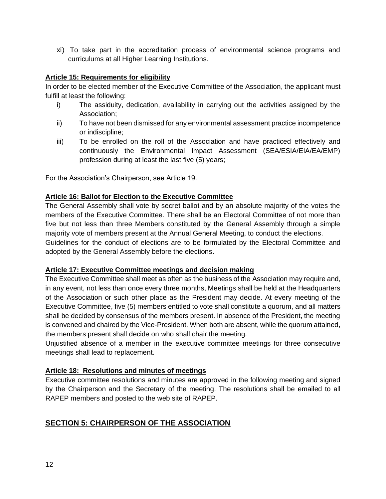xi) To take part in the accreditation process of environmental science programs and curriculums at all Higher Learning Institutions.

#### **Article 15: Requirements for eligibility**

In order to be elected member of the Executive Committee of the Association, the applicant must fulfill at least the following:

- i) The assiduity, dedication, availability in carrying out the activities assigned by the Association;
- ii) To have not been dismissed for any environmental assessment practice incompetence or indiscipline;
- iii) To be enrolled on the roll of the Association and have practiced effectively and continuously the Environmental Impact Assessment (SEA/ESIA/EIA/EA/EMP) profession during at least the last five (5) years;

For the Association's Chairperson, see Article 19.

#### **Article 16: Ballot for Election to the Executive Committee**

The General Assembly shall vote by secret ballot and by an absolute majority of the votes the members of the Executive Committee. There shall be an Electoral Committee of not more than five but not less than three Members constituted by the General Assembly through a simple majority vote of members present at the Annual General Meeting, to conduct the elections. Guidelines for the conduct of elections are to be formulated by the Electoral Committee and adopted by the General Assembly before the elections.

#### **Article 17: Executive Committee meetings and decision making**

The Executive Committee shall meet as often as the business of the Association may require and, in any event, not less than once every three months, Meetings shall be held at the Headquarters of the Association or such other place as the President may decide. At every meeting of the Executive Committee, five (5) members entitled to vote shall constitute a quorum, and all matters shall be decided by consensus of the members present. In absence of the President, the meeting is convened and chaired by the Vice-President. When both are absent, while the quorum attained, the members present shall decide on who shall chair the meeting.

Unjustified absence of a member in the executive committee meetings for three consecutive meetings shall lead to replacement.

#### **Article 18: Resolutions and minutes of meetings**

Executive committee resolutions and minutes are approved in the following meeting and signed by the Chairperson and the Secretary of the meeting. The resolutions shall be emailed to all RAPEP members and posted to the web site of RAPEP.

## **SECTION 5: CHAIRPERSON OF THE ASSOCIATION**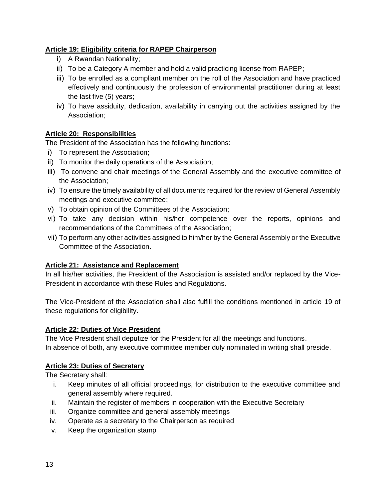## **Article 19: Eligibility criteria for RAPEP Chairperson**

- i) A Rwandan Nationality;
- ii) To be a Category A member and hold a valid practicing license from RAPEP;
- iii) To be enrolled as a compliant member on the roll of the Association and have practiced effectively and continuously the profession of environmental practitioner during at least the last five (5) years;
- iv) To have assiduity, dedication, availability in carrying out the activities assigned by the Association;

# **Article 20: Responsibilities**

The President of the Association has the following functions:

- i) To represent the Association;
- ii) To monitor the daily operations of the Association;
- iii) To convene and chair meetings of the General Assembly and the executive committee of the Association;
- iv) To ensure the timely availability of all documents required for the review of General Assembly meetings and executive committee;
- v) To obtain opinion of the Committees of the Association;
- vi) To take any decision within his/her competence over the reports, opinions and recommendations of the Committees of the Association;
- vii) To perform any other activities assigned to him/her by the General Assembly or the Executive Committee of the Association.

## **Article 21: Assistance and Replacement**

In all his/her activities, the President of the Association is assisted and/or replaced by the Vice-President in accordance with these Rules and Regulations.

The Vice-President of the Association shall also fulfill the conditions mentioned in article 19 of these regulations for eligibility.

## **Article 22: Duties of Vice President**

The Vice President shall deputize for the President for all the meetings and functions. In absence of both, any executive committee member duly nominated in writing shall preside.

## **Article 23: Duties of Secretary**

The Secretary shall:

- i. Keep minutes of all official proceedings, for distribution to the executive committee and general assembly where required.
- ii. Maintain the register of members in cooperation with the Executive Secretary
- iii. Organize committee and general assembly meetings
- iv. Operate as a secretary to the Chairperson as required
- v. Keep the organization stamp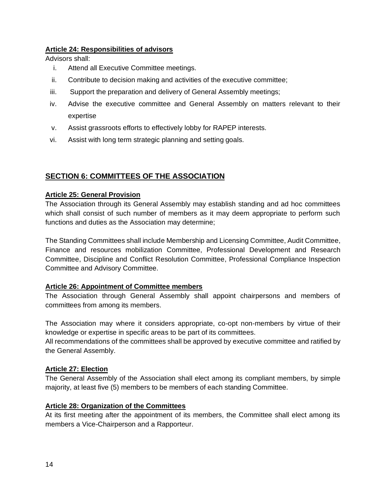#### **Article 24: Responsibilities of advisors**

Advisors shall:

- i. Attend all Executive Committee meetings.
- ii. Contribute to decision making and activities of the executive committee;
- iii. Support the preparation and delivery of General Assembly meetings;
- iv. Advise the executive committee and General Assembly on matters relevant to their expertise
- v. Assist grassroots efforts to effectively lobby for RAPEP interests.
- vi. Assist with long term strategic planning and setting goals.

# **SECTION 6: COMMITTEES OF THE ASSOCIATION**

#### **Article 25: General Provision**

The Association through its General Assembly may establish standing and ad hoc committees which shall consist of such number of members as it may deem appropriate to perform such functions and duties as the Association may determine;

The Standing Committees shall include Membership and Licensing Committee, Audit Committee, Finance and resources mobilization Committee, Professional Development and Research Committee, Discipline and Conflict Resolution Committee, Professional Compliance Inspection Committee and Advisory Committee.

#### **Article 26: Appointment of Committee members**

The Association through General Assembly shall appoint chairpersons and members of committees from among its members.

The Association may where it considers appropriate, co-opt non-members by virtue of their knowledge or expertise in specific areas to be part of its committees.

All recommendations of the committees shall be approved by executive committee and ratified by the General Assembly.

#### **Article 27: Election**

The General Assembly of the Association shall elect among its compliant members, by simple majority, at least five (5) members to be members of each standing Committee.

#### **Article 28: Organization of the Committees**

At its first meeting after the appointment of its members, the Committee shall elect among its members a Vice-Chairperson and a Rapporteur.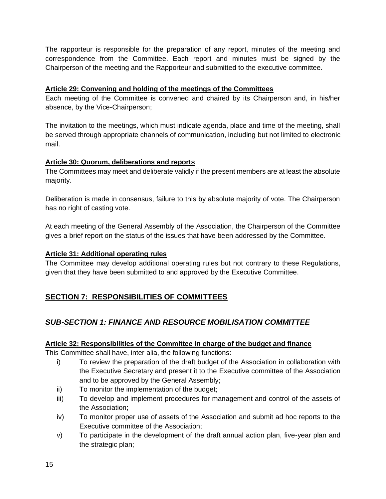The rapporteur is responsible for the preparation of any report, minutes of the meeting and correspondence from the Committee. Each report and minutes must be signed by the Chairperson of the meeting and the Rapporteur and submitted to the executive committee.

## **Article 29: Convening and holding of the meetings of the Committees**

Each meeting of the Committee is convened and chaired by its Chairperson and, in his/her absence, by the Vice-Chairperson;

The invitation to the meetings, which must indicate agenda, place and time of the meeting, shall be served through appropriate channels of communication, including but not limited to electronic mail.

## **Article 30: Quorum, deliberations and reports**

The Committees may meet and deliberate validly if the present members are at least the absolute majority.

Deliberation is made in consensus, failure to this by absolute majority of vote. The Chairperson has no right of casting vote.

At each meeting of the General Assembly of the Association, the Chairperson of the Committee gives a brief report on the status of the issues that have been addressed by the Committee.

## **Article 31: Additional operating rules**

The Committee may develop additional operating rules but not contrary to these Regulations, given that they have been submitted to and approved by the Executive Committee.

# **SECTION 7: RESPONSIBILITIES OF COMMITTEES**

# *SUB-SECTION 1: FINANCE AND RESOURCE MOBILISATION COMMITTEE*

## **Article 32: Responsibilities of the Committee in charge of the budget and finance**

This Committee shall have, inter alia, the following functions:

- i) To review the preparation of the draft budget of the Association in collaboration with the Executive Secretary and present it to the Executive committee of the Association and to be approved by the General Assembly;
- ii) To monitor the implementation of the budget;
- iii) To develop and implement procedures for management and control of the assets of the Association;
- iv) To monitor proper use of assets of the Association and submit ad hoc reports to the Executive committee of the Association;
- v) To participate in the development of the draft annual action plan, five-year plan and the strategic plan;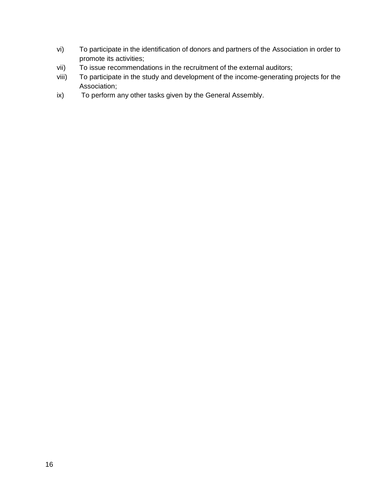- vi) To participate in the identification of donors and partners of the Association in order to promote its activities;
- vii) To issue recommendations in the recruitment of the external auditors;
- viii) To participate in the study and development of the income-generating projects for the Association;
- ix) To perform any other tasks given by the General Assembly.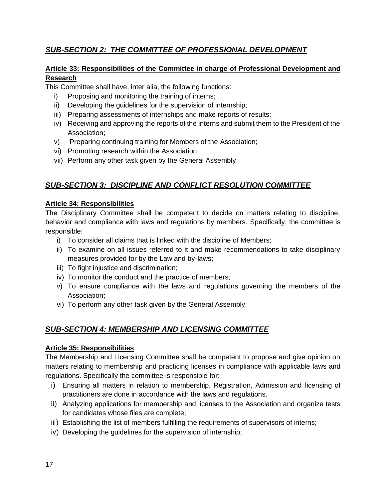# *SUB-SECTION 2: THE COMMITTEE OF PROFESSIONAL DEVELOPMENT*

## **Article 33: Responsibilities of the Committee in charge of Professional Development and Research**

This Committee shall have, inter alia, the following functions:

- i) Proposing and monitoring the training of interns;
- ii) Developing the guidelines for the supervision of internship;
- iii) Preparing assessments of internships and make reports of results;
- iv) Receiving and approving the reports of the interns and submit them to the President of the Association;
- v) Preparing continuing training for Members of the Association;
- vi) Promoting research within the Association;
- vii) Perform any other task given by the General Assembly.

# *SUB-SECTION 3: DISCIPLINE AND CONFLICT RESOLUTION COMMITTEE*

# **Article 34: Responsibilities**

The Disciplinary Committee shall be competent to decide on matters relating to discipline, behavior and compliance with laws and regulations by members. Specifically, the committee is responsible:

- i) To consider all claims that is linked with the discipline of Members;
- ii) To examine on all issues referred to it and make recommendations to take disciplinary measures provided for by the Law and by-laws;
- iii) To fight injustice and discrimination;
- iv) To monitor the conduct and the practice of members;
- v) To ensure compliance with the laws and regulations governing the members of the Association;
- vi) To perform any other task given by the General Assembly.

# *SUB-SECTION 4: MEMBERSHIP AND LICENSING COMMITTEE*

## **Article 35: Responsibilities**

The Membership and Licensing Committee shall be competent to propose and give opinion on matters relating to membership and practicing licenses in compliance with applicable laws and regulations. Specifically the committee is responsible for:

- i) Ensuring all matters in relation to membership, Registration, Admission and licensing of practitioners are done in accordance with the laws and regulations.
- ii) Analyzing applications for membership and licenses to the Association and organize tests for candidates whose files are complete;
- iii) Establishing the list of members fulfilling the requirements of supervisors of interns;
- iv) Developing the guidelines for the supervision of internship;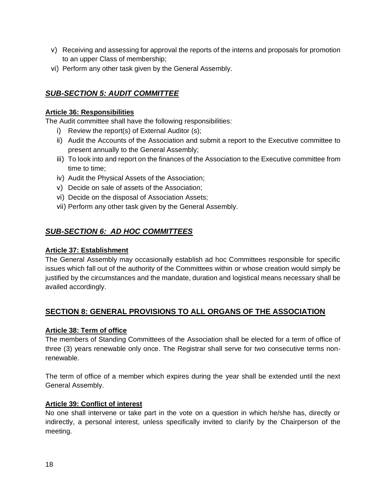- v) Receiving and assessing for approval the reports of the interns and proposals for promotion to an upper Class of membership;
- vi) Perform any other task given by the General Assembly.

# *SUB-SECTION 5: AUDIT COMMITTEE*

#### **Article 36: Responsibilities**

The Audit committee shall have the following responsibilities:

- i) Review the report(s) of External Auditor (s);
- ii) Audit the Accounts of the Association and submit a report to the Executive committee to present annually to the General Assembly;
- iii) To look into and report on the finances of the Association to the Executive committee from time to time;
- iv) Audit the Physical Assets of the Association;
- v) Decide on sale of assets of the Association;
- vi) Decide on the disposal of Association Assets;
- vii) Perform any other task given by the General Assembly.

# *SUB-SECTION 6: AD HOC COMMITTEES*

#### **Article 37: Establishment**

The General Assembly may occasionally establish ad hoc Committees responsible for specific issues which fall out of the authority of the Committees within or whose creation would simply be justified by the circumstances and the mandate, duration and logistical means necessary shall be availed accordingly.

# **SECTION 8: GENERAL PROVISIONS TO ALL ORGANS OF THE ASSOCIATION**

## **Article 38: Term of office**

The members of Standing Committees of the Association shall be elected for a term of office of three (3) years renewable only once. The Registrar shall serve for two consecutive terms nonrenewable.

The term of office of a member which expires during the year shall be extended until the next General Assembly.

#### **Article 39: Conflict of interest**

No one shall intervene or take part in the vote on a question in which he/she has, directly or indirectly, a personal interest, unless specifically invited to clarify by the Chairperson of the meeting.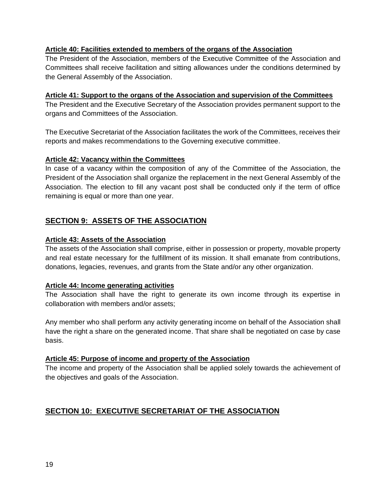#### **Article 40: Facilities extended to members of the organs of the Association**

The President of the Association, members of the Executive Committee of the Association and Committees shall receive facilitation and sitting allowances under the conditions determined by the General Assembly of the Association.

#### **Article 41: Support to the organs of the Association and supervision of the Committees**

The President and the Executive Secretary of the Association provides permanent support to the organs and Committees of the Association.

The Executive Secretariat of the Association facilitates the work of the Committees, receives their reports and makes recommendations to the Governing executive committee.

#### **Article 42: Vacancy within the Committees**

In case of a vacancy within the composition of any of the Committee of the Association, the President of the Association shall organize the replacement in the next General Assembly of the Association. The election to fill any vacant post shall be conducted only if the term of office remaining is equal or more than one year.

# **SECTION 9: ASSETS OF THE ASSOCIATION**

#### **Article 43: Assets of the Association**

The assets of the Association shall comprise, either in possession or property, movable property and real estate necessary for the fulfillment of its mission. It shall emanate from contributions, donations, legacies, revenues, and grants from the State and/or any other organization.

#### **Article 44: Income generating activities**

The Association shall have the right to generate its own income through its expertise in collaboration with members and/or assets;

Any member who shall perform any activity generating income on behalf of the Association shall have the right a share on the generated income. That share shall be negotiated on case by case basis.

#### **Article 45: Purpose of income and property of the Association**

The income and property of the Association shall be applied solely towards the achievement of the objectives and goals of the Association.

# **SECTION 10: EXECUTIVE SECRETARIAT OF THE ASSOCIATION**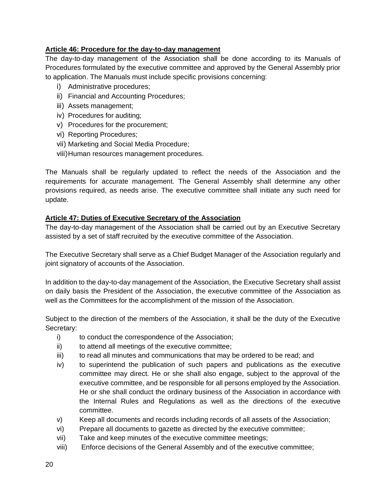## **Article 46: Procedure for the day-to-day management**

The day-to-day management of the Association shall be done according to its Manuals of Procedures formulated by the executive committee and approved by the General Assembly prior to application. The Manuals must include specific provisions concerning:

- i) Administrative procedures;
- ii) Financial and Accounting Procedures;
- iii) Assets management;
- iv) Procedures for auditing;
- v) Procedures for the procurement;
- vi) Reporting Procedures;
- vii) Marketing and Social Media Procedure;
- viii)Human resources management procedures.

The Manuals shall be regularly updated to reflect the needs of the Association and the requirements for accurate management. The General Assembly shall determine any other provisions required, as needs arise. The executive committee shall initiate any such need for update.

#### **Article 47: Duties of Executive Secretary of the Association**

The day-to-day management of the Association shall be carried out by an Executive Secretary assisted by a set of staff recruited by the executive committee of the Association.

The Executive Secretary shall serve as a Chief Budget Manager of the Association regularly and joint signatory of accounts of the Association.

In addition to the day-to-day management of the Association, the Executive Secretary shall assist on daily basis the President of the Association, the executive committee of the Association as well as the Committees for the accomplishment of the mission of the Association.

Subject to the direction of the members of the Association, it shall be the duty of the Executive Secretary:

- i) to conduct the correspondence of the Association;
- ii) to attend all meetings of the executive committee;
- iii) to read all minutes and communications that may be ordered to be read; and
- iv) to superintend the publication of such papers and publications as the executive committee may direct. He or she shall also engage, subject to the approval of the executive committee, and be responsible for all persons employed by the Association. He or she shall conduct the ordinary business of the Association in accordance with the Internal Rules and Regulations as well as the directions of the executive committee.
- v) Keep all documents and records including records of all assets of the Association;
- vi) Prepare all documents to gazette as directed by the executive committee;
- vii) Take and keep minutes of the executive committee meetings;
- viii) Enforce decisions of the General Assembly and of the executive committee;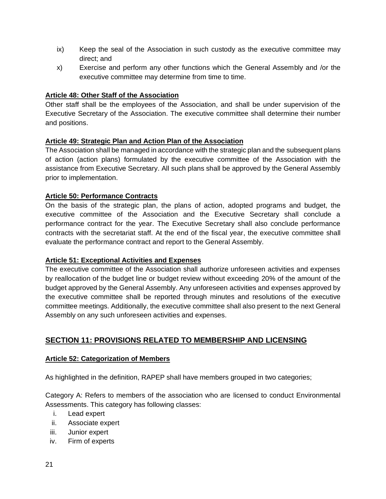- ix) Keep the seal of the Association in such custody as the executive committee may direct; and
- x) Exercise and perform any other functions which the General Assembly and /or the executive committee may determine from time to time.

## **Article 48: Other Staff of the Association**

Other staff shall be the employees of the Association, and shall be under supervision of the Executive Secretary of the Association. The executive committee shall determine their number and positions.

## **Article 49: Strategic Plan and Action Plan of the Association**

The Association shall be managed in accordance with the strategic plan and the subsequent plans of action (action plans) formulated by the executive committee of the Association with the assistance from Executive Secretary. All such plans shall be approved by the General Assembly prior to implementation.

#### **Article 50: Performance Contracts**

On the basis of the strategic plan, the plans of action, adopted programs and budget, the executive committee of the Association and the Executive Secretary shall conclude a performance contract for the year. The Executive Secretary shall also conclude performance contracts with the secretariat staff. At the end of the fiscal year, the executive committee shall evaluate the performance contract and report to the General Assembly.

#### **Article 51: Exceptional Activities and Expenses**

The executive committee of the Association shall authorize unforeseen activities and expenses by reallocation of the budget line or budget review without exceeding 20% of the amount of the budget approved by the General Assembly. Any unforeseen activities and expenses approved by the executive committee shall be reported through minutes and resolutions of the executive committee meetings. Additionally, the executive committee shall also present to the next General Assembly on any such unforeseen activities and expenses.

# **SECTION 11: PROVISIONS RELATED TO MEMBERSHIP AND LICENSING**

## **Article 52: Categorization of Members**

As highlighted in the definition, RAPEP shall have members grouped in two categories;

Category A: Refers to members of the association who are licensed to conduct Environmental Assessments. This category has following classes:

- i. Lead expert
- ii. Associate expert
- iii. Junior expert
- iv. Firm of experts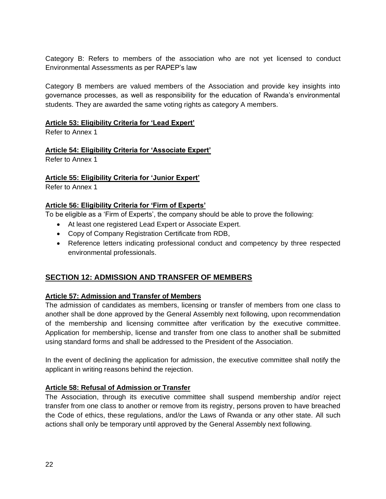Category B: Refers to members of the association who are not yet licensed to conduct Environmental Assessments as per RAPEP's law

Category B members are valued members of the Association and provide key insights into governance processes, as well as responsibility for the education of Rwanda's environmental students. They are awarded the same voting rights as category A members.

#### **Article 53: Eligibility Criteria for 'Lead Expert'**

Refer to Annex 1

#### **Article 54: Eligibility Criteria for 'Associate Expert'**

Refer to Annex 1

#### **Article 55: Eligibility Criteria for 'Junior Expert'**

Refer to Annex 1

## **Article 56: Eligibility Criteria for 'Firm of Experts'**

To be eligible as a 'Firm of Experts', the company should be able to prove the following:

- At least one registered Lead Expert or Associate Expert.
- Copy of Company Registration Certificate from RDB,
- Reference letters indicating professional conduct and competency by three respected environmental professionals.

# **SECTION 12: ADMISSION AND TRANSFER OF MEMBERS**

## **Article 57: Admission and Transfer of Members**

The admission of candidates as members, licensing or transfer of members from one class to another shall be done approved by the General Assembly next following, upon recommendation of the membership and licensing committee after verification by the executive committee. Application for membership, license and transfer from one class to another shall be submitted using standard forms and shall be addressed to the President of the Association.

In the event of declining the application for admission, the executive committee shall notify the applicant in writing reasons behind the rejection.

## **Article 58: Refusal of Admission or Transfer**

The Association, through its executive committee shall suspend membership and/or reject transfer from one class to another or remove from its registry, persons proven to have breached the Code of ethics, these regulations, and/or the Laws of Rwanda or any other state. All such actions shall only be temporary until approved by the General Assembly next following.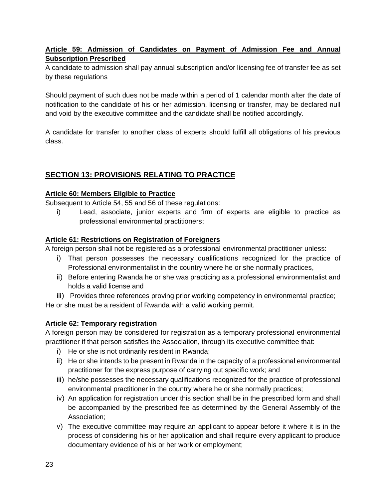## **Article 59: Admission of Candidates on Payment of Admission Fee and Annual Subscription Prescribed**

A candidate to admission shall pay annual subscription and/or licensing fee of transfer fee as set by these regulations

Should payment of such dues not be made within a period of 1 calendar month after the date of notification to the candidate of his or her admission, licensing or transfer, may be declared null and void by the executive committee and the candidate shall be notified accordingly.

A candidate for transfer to another class of experts should fulfill all obligations of his previous class.

# **SECTION 13: PROVISIONS RELATING TO PRACTICE**

#### **Article 60: Members Eligible to Practice**

Subsequent to Article 54, 55 and 56 of these regulations:

i) Lead, associate, junior experts and firm of experts are eligible to practice as professional environmental practitioners;

#### **Article 61: Restrictions on Registration of Foreigners**

A foreign person shall not be registered as a professional environmental practitioner unless:

- i) That person possesses the necessary qualifications recognized for the practice of Professional environmentalist in the country where he or she normally practices,
- ii) Before entering Rwanda he or she was practicing as a professional environmentalist and holds a valid license and

iii) Provides three references proving prior working competency in environmental practice; He or she must be a resident of Rwanda with a valid working permit.

## **Article 62: Temporary registration**

A foreign person may be considered for registration as a temporary professional environmental practitioner if that person satisfies the Association, through its executive committee that:

- i) He or she is not ordinarily resident in Rwanda;
- ii) He or she intends to be present in Rwanda in the capacity of a professional environmental practitioner for the express purpose of carrying out specific work; and
- iii) he/she possesses the necessary qualifications recognized for the practice of professional environmental practitioner in the country where he or she normally practices;
- iv) An application for registration under this section shall be in the prescribed form and shall be accompanied by the prescribed fee as determined by the General Assembly of the Association;
- v) The executive committee may require an applicant to appear before it where it is in the process of considering his or her application and shall require every applicant to produce documentary evidence of his or her work or employment;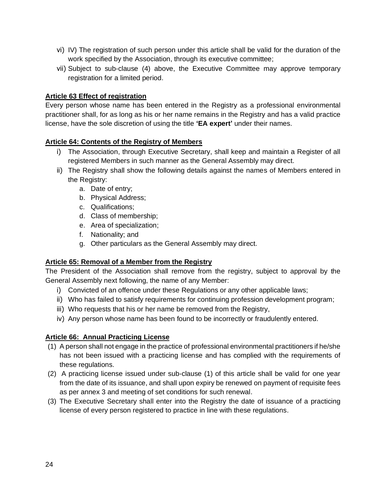- vi) IV) The registration of such person under this article shall be valid for the duration of the work specified by the Association, through its executive committee;
- vii) Subject to sub-clause (4) above, the Executive Committee may approve temporary registration for a limited period.

#### **Article 63 Effect of registration**

Every person whose name has been entered in the Registry as a professional environmental practitioner shall, for as long as his or her name remains in the Registry and has a valid practice license, have the sole discretion of using the title **'EA expert'** under their names.

#### **Article 64: Contents of the Registry of Members**

- i) The Association, through Executive Secretary, shall keep and maintain a Register of all registered Members in such manner as the General Assembly may direct.
- ii) The Registry shall show the following details against the names of Members entered in the Registry:
	- a. Date of entry;
	- b. Physical Address;
	- c. Qualifications;
	- d. Class of membership;
	- e. Area of specialization;
	- f. Nationality; and
	- g. Other particulars as the General Assembly may direct.

#### **Article 65: Removal of a Member from the Registry**

The President of the Association shall remove from the registry, subject to approval by the General Assembly next following, the name of any Member:

- i) Convicted of an offence under these Regulations or any other applicable laws;
- ii) Who has failed to satisfy requirements for continuing profession development program;
- iii) Who requests that his or her name be removed from the Registry,
- iv) Any person whose name has been found to be incorrectly or fraudulently entered.

#### **Article 66: Annual Practicing License**

- (1) A person shall not engage in the practice of professional environmental practitioners if he/she has not been issued with a practicing license and has complied with the requirements of these regulations.
- (2) A practicing license issued under sub-clause (1) of this article shall be valid for one year from the date of its issuance, and shall upon expiry be renewed on payment of requisite fees as per annex 3 and meeting of set conditions for such renewal.
- (3) The Executive Secretary shall enter into the Registry the date of issuance of a practicing license of every person registered to practice in line with these regulations.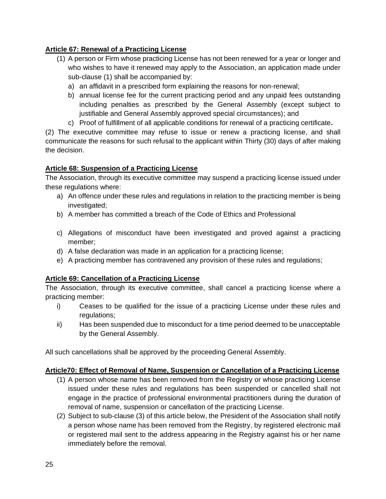# **Article 67: Renewal of a Practicing License**

- (1) A person or Firm whose practicing License has not been renewed for a year or longer and who wishes to have it renewed may apply to the Association, an application made under sub-clause (1) shall be accompanied by:
	- a) an affidavit in a prescribed form explaining the reasons for non-renewal;
	- b) annual license fee for the current practicing period and any unpaid fees outstanding including penalties as prescribed by the General Assembly (except subject to justifiable and General Assembly approved special circumstances); and
	- c) Proof of fulfillment of all applicable conditions for renewal of a practicing certificate**.**

(2) The executive committee may refuse to issue or renew a practicing license, and shall communicate the reasons for such refusal to the applicant within Thirty (30) days of after making the decision.

# **Article 68: Suspension of a Practicing License**

The Association, through its executive committee may suspend a practicing license issued under these regulations where:

- a) An offence under these rules and regulations in relation to the practicing member is being investigated;
- b) A member has committed a breach of the Code of Ethics and Professional
- c) Allegations of misconduct have been investigated and proved against a practicing member;
- d) A false declaration was made in an application for a practicing license;
- e) A practicing member has contravened any provision of these rules and regulations;

# **Article 69: Cancellation of a Practicing License**

The Association, through its executive committee, shall cancel a practicing license where a practicing member:

- i) Ceases to be qualified for the issue of a practicing License under these rules and regulations;
- ii) Has been suspended due to misconduct for a time period deemed to be unacceptable by the General Assembly.

All such cancellations shall be approved by the proceeding General Assembly.

## **Article70: Effect of Removal of Name, Suspension or Cancellation of a Practicing License**

- (1) A person whose name has been removed from the Registry or whose practicing License issued under these rules and regulations has been suspended or cancelled shall not engage in the practice of professional environmental practitioners during the duration of removal of name, suspension or cancellation of the practicing License.
- (2) Subject to sub-clause (3) of this article below, the President of the Association shall notify a person whose name has been removed from the Registry, by registered electronic mail or registered mail sent to the address appearing in the Registry against his or her name immediately before the removal.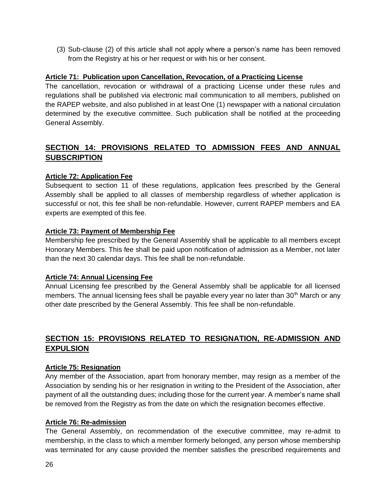(3) Sub-clause (2) of this article shall not apply where a person's name has been removed from the Registry at his or her request or with his or her consent.

#### **Article 71: Publication upon Cancellation, Revocation, of a Practicing License**

The cancellation, revocation or withdrawal of a practicing License under these rules and regulations shall be published via electronic mail communication to all members, published on the RAPEP website, and also published in at least One (1) newspaper with a national circulation determined by the executive committee. Such publication shall be notified at the proceeding General Assembly.

# **SECTION 14: PROVISIONS RELATED TO ADMISSION FEES AND ANNUAL SUBSCRIPTION**

#### **Article 72: Application Fee**

Subsequent to section 11 of these regulations, application fees prescribed by the General Assembly shall be applied to all classes of membership regardless of whether application is successful or not, this fee shall be non-refundable. However, current RAPEP members and EA experts are exempted of this fee.

#### **Article 73: Payment of Membership Fee**

Membership fee prescribed by the General Assembly shall be applicable to all members except Honorary Members. This fee shall be paid upon notification of admission as a Member, not later than the next 30 calendar days. This fee shall be non-refundable.

#### **Article 74: Annual Licensing Fee**

Annual Licensing fee prescribed by the General Assembly shall be applicable for all licensed members. The annual licensing fees shall be payable every year no later than  $30<sup>th</sup>$  March or any other date prescribed by the General Assembly. This fee shall be non-refundable.

# **SECTION 15: PROVISIONS RELATED TO RESIGNATION, RE-ADMISSION AND EXPULSION**

#### **Article 75: Resignation**

Any member of the Association, apart from honorary member, may resign as a member of the Association by sending his or her resignation in writing to the President of the Association, after payment of all the outstanding dues; including those for the current year. A member's name shall be removed from the Registry as from the date on which the resignation becomes effective.

#### **Article 76: Re-admission**

The General Assembly, on recommendation of the executive committee, may re-admit to membership, in the class to which a member formerly belonged, any person whose membership was terminated for any cause provided the member satisfies the prescribed requirements and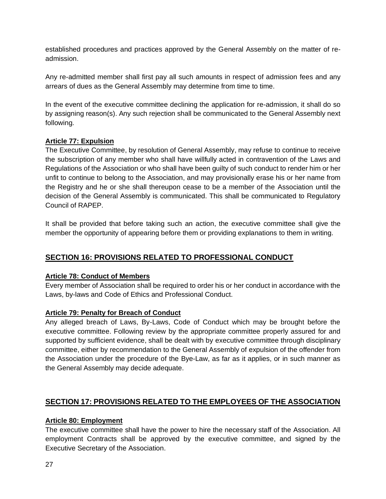established procedures and practices approved by the General Assembly on the matter of readmission.

Any re-admitted member shall first pay all such amounts in respect of admission fees and any arrears of dues as the General Assembly may determine from time to time.

In the event of the executive committee declining the application for re-admission, it shall do so by assigning reason(s). Any such rejection shall be communicated to the General Assembly next following.

#### **Article 77: Expulsion**

The Executive Committee, by resolution of General Assembly, may refuse to continue to receive the subscription of any member who shall have willfully acted in contravention of the Laws and Regulations of the Association or who shall have been guilty of such conduct to render him or her unfit to continue to belong to the Association, and may provisionally erase his or her name from the Registry and he or she shall thereupon cease to be a member of the Association until the decision of the General Assembly is communicated. This shall be communicated to Regulatory Council of RAPEP.

It shall be provided that before taking such an action, the executive committee shall give the member the opportunity of appearing before them or providing explanations to them in writing.

# **SECTION 16: PROVISIONS RELATED TO PROFESSIONAL CONDUCT**

#### **Article 78: Conduct of Members**

Every member of Association shall be required to order his or her conduct in accordance with the Laws, by-laws and Code of Ethics and Professional Conduct.

#### **Article 79: Penalty for Breach of Conduct**

Any alleged breach of Laws, By-Laws, Code of Conduct which may be brought before the executive committee. Following review by the appropriate committee properly assured for and supported by sufficient evidence, shall be dealt with by executive committee through disciplinary committee, either by recommendation to the General Assembly of expulsion of the offender from the Association under the procedure of the Bye-Law, as far as it applies, or in such manner as the General Assembly may decide adequate.

# **SECTION 17: PROVISIONS RELATED TO THE EMPLOYEES OF THE ASSOCIATION**

#### **Article 80: Employment**

The executive committee shall have the power to hire the necessary staff of the Association. All employment Contracts shall be approved by the executive committee, and signed by the Executive Secretary of the Association.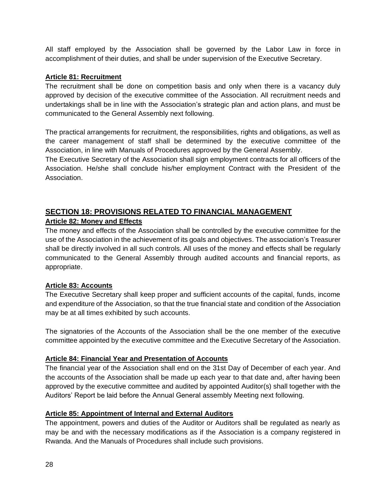All staff employed by the Association shall be governed by the Labor Law in force in accomplishment of their duties, and shall be under supervision of the Executive Secretary.

#### **Article 81: Recruitment**

The recruitment shall be done on competition basis and only when there is a vacancy duly approved by decision of the executive committee of the Association. All recruitment needs and undertakings shall be in line with the Association's strategic plan and action plans, and must be communicated to the General Assembly next following.

The practical arrangements for recruitment, the responsibilities, rights and obligations, as well as the career management of staff shall be determined by the executive committee of the Association, in line with Manuals of Procedures approved by the General Assembly.

The Executive Secretary of the Association shall sign employment contracts for all officers of the Association. He/she shall conclude his/her employment Contract with the President of the Association.

# **SECTION 18: PROVISIONS RELATED TO FINANCIAL MANAGEMENT Article 82: Money and Effects**

The money and effects of the Association shall be controlled by the executive committee for the use of the Association in the achievement of its goals and objectives. The association's Treasurer shall be directly involved in all such controls. All uses of the money and effects shall be regularly communicated to the General Assembly through audited accounts and financial reports, as appropriate.

## **Article 83: Accounts**

The Executive Secretary shall keep proper and sufficient accounts of the capital, funds, income and expenditure of the Association, so that the true financial state and condition of the Association may be at all times exhibited by such accounts.

The signatories of the Accounts of the Association shall be the one member of the executive committee appointed by the executive committee and the Executive Secretary of the Association.

## **Article 84: Financial Year and Presentation of Accounts**

The financial year of the Association shall end on the 31st Day of December of each year. And the accounts of the Association shall be made up each year to that date and, after having been approved by the executive committee and audited by appointed Auditor(s) shall together with the Auditors' Report be laid before the Annual General assembly Meeting next following.

## **Article 85: Appointment of Internal and External Auditors**

The appointment, powers and duties of the Auditor or Auditors shall be regulated as nearly as may be and with the necessary modifications as if the Association is a company registered in Rwanda. And the Manuals of Procedures shall include such provisions.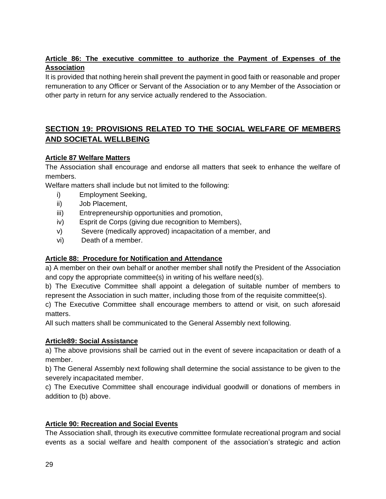# **Article 86: The executive committee to authorize the Payment of Expenses of the Association**

It is provided that nothing herein shall prevent the payment in good faith or reasonable and proper remuneration to any Officer or Servant of the Association or to any Member of the Association or other party in return for any service actually rendered to the Association.

# **SECTION 19: PROVISIONS RELATED TO THE SOCIAL WELFARE OF MEMBERS AND SOCIETAL WELLBEING**

## **Article 87 Welfare Matters**

The Association shall encourage and endorse all matters that seek to enhance the welfare of members.

Welfare matters shall include but not limited to the following:

- i) Employment Seeking,
- ii) Job Placement,
- iii) Entrepreneurship opportunities and promotion,
- iv) Esprit de Corps (giving due recognition to Members),
- v) Severe (medically approved) incapacitation of a member, and
- vi) Death of a member.

## **Article 88: Procedure for Notification and Attendance**

a) A member on their own behalf or another member shall notify the President of the Association and copy the appropriate committee(s) in writing of his welfare need(s).

b) The Executive Committee shall appoint a delegation of suitable number of members to represent the Association in such matter, including those from of the requisite committee(s).

c) The Executive Committee shall encourage members to attend or visit, on such aforesaid matters.

All such matters shall be communicated to the General Assembly next following.

## **Article89: Social Assistance**

a) The above provisions shall be carried out in the event of severe incapacitation or death of a member.

b) The General Assembly next following shall determine the social assistance to be given to the severely incapacitated member.

c) The Executive Committee shall encourage individual goodwill or donations of members in addition to (b) above.

## **Article 90: Recreation and Social Events**

The Association shall, through its executive committee formulate recreational program and social events as a social welfare and health component of the association's strategic and action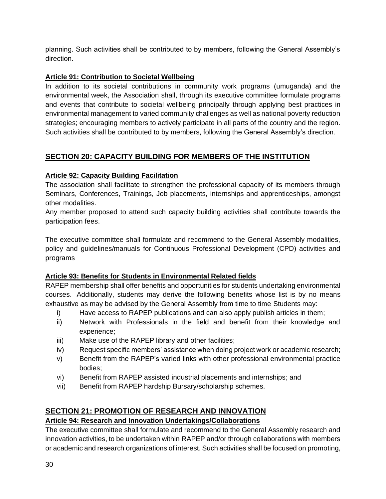planning. Such activities shall be contributed to by members, following the General Assembly's direction.

# **Article 91: Contribution to Societal Wellbeing**

In addition to its societal contributions in community work programs (umuganda) and the environmental week, the Association shall, through its executive committee formulate programs and events that contribute to societal wellbeing principally through applying best practices in environmental management to varied community challenges as well as national poverty reduction strategies; encouraging members to actively participate in all parts of the country and the region. Such activities shall be contributed to by members, following the General Assembly's direction.

# **SECTION 20: CAPACITY BUILDING FOR MEMBERS OF THE INSTITUTION**

# **Article 92: Capacity Building Facilitation**

The association shall facilitate to strengthen the professional capacity of its members through Seminars, Conferences, Trainings, Job placements, internships and apprenticeships, amongst other modalities.

Any member proposed to attend such capacity building activities shall contribute towards the participation fees.

The executive committee shall formulate and recommend to the General Assembly modalities, policy and guidelines/manuals for Continuous Professional Development (CPD) activities and programs

## **Article 93: Benefits for Students in Environmental Related fields**

RAPEP membership shall offer benefits and opportunities for students undertaking environmental courses. Additionally, students may derive the following benefits whose list is by no means exhaustive as may be advised by the General Assembly from time to time Students may:

- i) Have access to RAPEP publications and can also apply publish articles in them;
- ii) Network with Professionals in the field and benefit from their knowledge and experience;
- iii) Make use of the RAPEP library and other facilities;
- iv) Request specific members' assistance when doing project work or academic research;
- v) Benefit from the RAPEP's varied links with other professional environmental practice bodies;
- vi) Benefit from RAPEP assisted industrial placements and internships; and
- vii) Benefit from RAPEP hardship Bursary/scholarship schemes.

# **SECTION 21: PROMOTION OF RESEARCH AND INNOVATION**

# **Article 94: Research and Innovation Undertakings/Collaborations**

The executive committee shall formulate and recommend to the General Assembly research and innovation activities, to be undertaken within RAPEP and/or through collaborations with members or academic and research organizations of interest. Such activities shall be focused on promoting,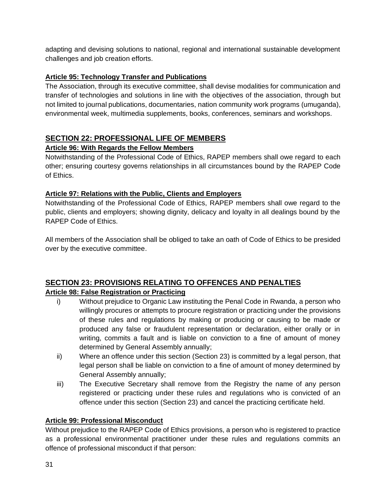adapting and devising solutions to national, regional and international sustainable development challenges and job creation efforts.

# **Article 95: Technology Transfer and Publications**

The Association, through its executive committee, shall devise modalities for communication and transfer of technologies and solutions in line with the objectives of the association, through but not limited to journal publications, documentaries, nation community work programs (umuganda), environmental week, multimedia supplements, books, conferences, seminars and workshops.

# **SECTION 22: PROFESSIONAL LIFE OF MEMBERS**

# **Article 96: With Regards the Fellow Members**

Notwithstanding of the Professional Code of Ethics, RAPEP members shall owe regard to each other; ensuring courtesy governs relationships in all circumstances bound by the RAPEP Code of Ethics.

## **Article 97: Relations with the Public, Clients and Employers**

Notwithstanding of the Professional Code of Ethics, RAPEP members shall owe regard to the public, clients and employers; showing dignity, delicacy and loyalty in all dealings bound by the RAPEP Code of Ethics.

All members of the Association shall be obliged to take an oath of Code of Ethics to be presided over by the executive committee.

#### **SECTION 23: PROVISIONS RELATING TO OFFENCES AND PENALTIES Article 98: False Registration or Practicing**

- i) Without prejudice to Organic Law instituting the Penal Code in Rwanda, a person who willingly procures or attempts to procure registration or practicing under the provisions of these rules and regulations by making or producing or causing to be made or produced any false or fraudulent representation or declaration, either orally or in writing, commits a fault and is liable on conviction to a fine of amount of money determined by General Assembly annually;
- ii) Where an offence under this section (Section 23) is committed by a legal person, that legal person shall be liable on conviction to a fine of amount of money determined by General Assembly annually;
- iii) The Executive Secretary shall remove from the Registry the name of any person registered or practicing under these rules and regulations who is convicted of an offence under this section (Section 23) and cancel the practicing certificate held.

## **Article 99: Professional Misconduct**

Without prejudice to the RAPEP Code of Ethics provisions, a person who is registered to practice as a professional environmental practitioner under these rules and regulations commits an offence of professional misconduct if that person: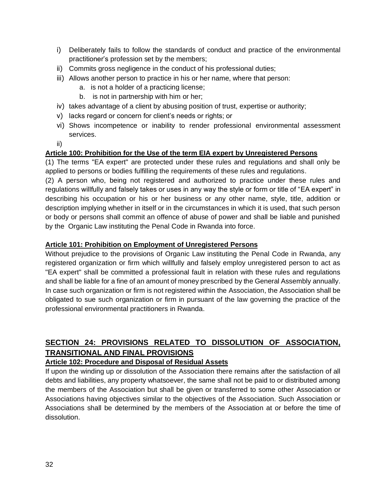- i) Deliberately fails to follow the standards of conduct and practice of the environmental practitioner's profession set by the members;
- ii) Commits gross negligence in the conduct of his professional duties;
- iii) Allows another person to practice in his or her name, where that person:
	- a. is not a holder of a practicing license;
	- b. is not in partnership with him or her;
- iv) takes advantage of a client by abusing position of trust, expertise or authority;
- v) lacks regard or concern for client's needs or rights; or
- vi) Shows incompetence or inability to render professional environmental assessment services.
- ii)

#### **Article 100: Prohibition for the Use of the term EIA expert by Unregistered Persons**

(1) The terms "EA expert" are protected under these rules and regulations and shall only be applied to persons or bodies fulfilling the requirements of these rules and regulations.

(2) A person who, being not registered and authorized to practice under these rules and regulations willfully and falsely takes or uses in any way the style or form or title of "EA expert" in describing his occupation or his or her business or any other name, style, title, addition or description implying whether in itself or in the circumstances in which it is used, that such person or body or persons shall commit an offence of abuse of power and shall be liable and punished by the Organic Law instituting the Penal Code in Rwanda into force.

#### **Article 101: Prohibition on Employment of Unregistered Persons**

Without prejudice to the provisions of Organic Law instituting the Penal Code in Rwanda, any registered organization or firm which willfully and falsely employ unregistered person to act as "EA expert" shall be committed a professional fault in relation with these rules and regulations and shall be liable for a fine of an amount of money prescribed by the General Assembly annually. In case such organization or firm is not registered within the Association, the Association shall be obligated to sue such organization or firm in pursuant of the law governing the practice of the professional environmental practitioners in Rwanda.

# **SECTION 24: PROVISIONS RELATED TO DISSOLUTION OF ASSOCIATION, TRANSITIONAL AND FINAL PROVISIONS**

#### **Article 102: Procedure and Disposal of Residual Assets**

If upon the winding up or dissolution of the Association there remains after the satisfaction of all debts and liabilities, any property whatsoever, the same shall not be paid to or distributed among the members of the Association but shall be given or transferred to some other Association or Associations having objectives similar to the objectives of the Association. Such Association or Associations shall be determined by the members of the Association at or before the time of dissolution.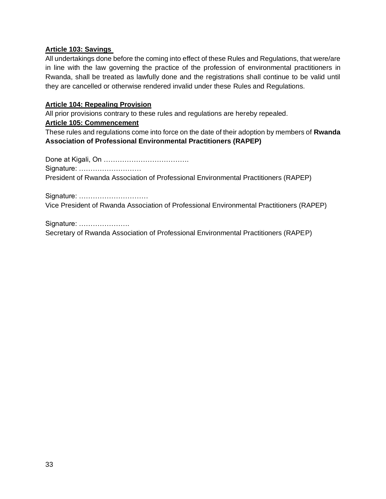#### **Article 103: Savings**

All undertakings done before the coming into effect of these Rules and Regulations, that were/are in line with the law governing the practice of the profession of environmental practitioners in Rwanda, shall be treated as lawfully done and the registrations shall continue to be valid until they are cancelled or otherwise rendered invalid under these Rules and Regulations.

#### **Article 104: Repealing Provision**

All prior provisions contrary to these rules and regulations are hereby repealed.

#### **Article 105: Commencement**

These rules and regulations come into force on the date of their adoption by members of **Rwanda Association of Professional Environmental Practitioners (RAPEP)**

Done at Kigali, On ………………………………. Signature: ……………………… President of Rwanda Association of Professional Environmental Practitioners (RAPEP)

Signature: ………………………… Vice President of Rwanda Association of Professional Environmental Practitioners (RAPEP)

Signature: ………………….

Secretary of Rwanda Association of Professional Environmental Practitioners (RAPEP)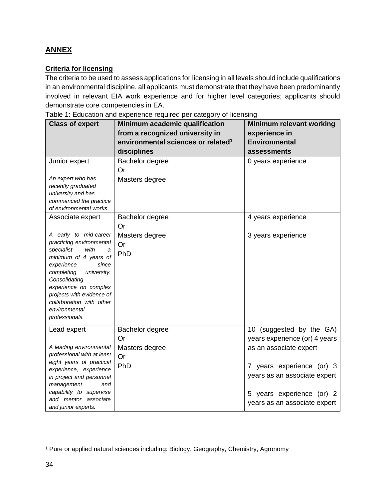# **ANNEX**

## **Criteria for licensing**

The criteria to be used to assess applications for licensing in all levels should include qualifications in an environmental discipline, all applicants must demonstrate that they have been predominantly involved in relevant EIA work experience and for higher level categories; applicants should demonstrate core competencies in EA.

Table 1: Education and experience required per category of licensing

| <b>Class of expert</b>                                                                                                                                                                                                                                                                                              | Minimum academic qualification<br>from a recognized university in<br>environmental sciences or related <sup>1</sup> | <b>Minimum relevant working</b><br>experience in<br><b>Environmental</b>                                                                                                                                                      |
|---------------------------------------------------------------------------------------------------------------------------------------------------------------------------------------------------------------------------------------------------------------------------------------------------------------------|---------------------------------------------------------------------------------------------------------------------|-------------------------------------------------------------------------------------------------------------------------------------------------------------------------------------------------------------------------------|
|                                                                                                                                                                                                                                                                                                                     | disciplines                                                                                                         | assessments                                                                                                                                                                                                                   |
| Junior expert<br>An expert who has<br>recently graduated<br>university and has<br>commenced the practice<br>of environmental works.                                                                                                                                                                                 | Bachelor degree<br>Or<br>Masters degree                                                                             | 0 years experience                                                                                                                                                                                                            |
| Associate expert<br>A early to mid-career<br>practicing environmental<br>specialist<br>with<br>a<br>minimum of 4 years of<br>experience<br>since<br>university.<br>completing<br>Consolidating<br>experience on complex<br>projects with evidence of<br>collaboration with other<br>environmental<br>professionals. | Bachelor degree<br>Or<br>Masters degree<br>Or<br>PhD                                                                | 4 years experience<br>3 years experience                                                                                                                                                                                      |
| Lead expert<br>A leading environmental<br>professional with at least<br>eight years of practical<br>experience, experience<br>in project and personnel<br>management<br>and<br>capability to supervise<br>and mentor associate<br>and junior experts.                                                               | Bachelor degree<br>Or<br>Masters degree<br>Or<br>PhD                                                                | (suggested by the GA)<br>10 <sup>°</sup><br>years experience (or) 4 years<br>as an associate expert<br>7 years experience (or) 3<br>years as an associate expert<br>5 years experience (or) 2<br>years as an associate expert |

<sup>&</sup>lt;sup>1</sup> Pure or applied natural sciences including: Biology, Geography, Chemistry, Agronomy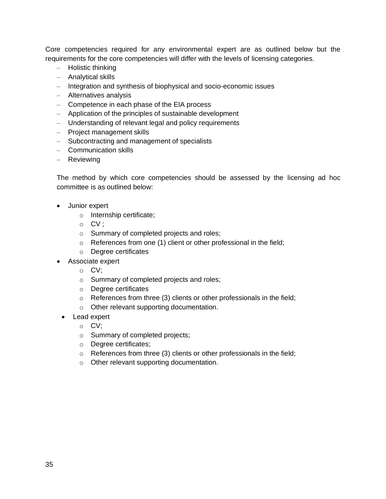Core competencies required for any environmental expert are as outlined below but the requirements for the core competencies will differ with the levels of licensing categories.

- Holistic thinking
- Analytical skills
- Integration and synthesis of biophysical and socio-economic issues
- Alternatives analysis
- Competence in each phase of the EIA process
- Application of the principles of sustainable development
- Understanding of relevant legal and policy requirements
- Project management skills
- Subcontracting and management of specialists
- Communication skills
- Reviewing

The method by which core competencies should be assessed by the licensing ad hoc committee is as outlined below:

- Junior expert
	- o Internship certificate;
	- o CV ;
	- o Summary of completed projects and roles;
	- $\circ$  References from one (1) client or other professional in the field;
	- o Degree certificates
- Associate expert
	- o CV;
	- o Summary of completed projects and roles;
	- o Degree certificates
	- $\circ$  References from three (3) clients or other professionals in the field;
	- o Other relevant supporting documentation.
	- Lead expert
		- o CV;
		- o Summary of completed projects;
		- o Degree certificates;
		- o References from three (3) clients or other professionals in the field;
		- o Other relevant supporting documentation.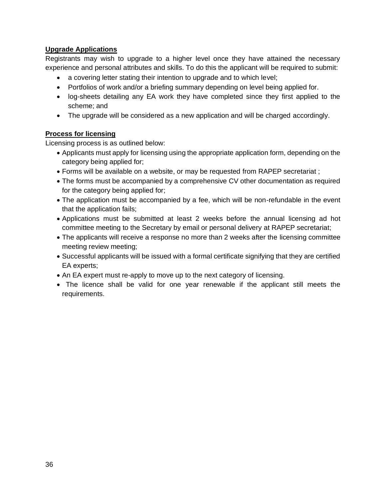## **Upgrade Applications**

Registrants may wish to upgrade to a higher level once they have attained the necessary experience and personal attributes and skills. To do this the applicant will be required to submit:

- a covering letter stating their intention to upgrade and to which level;
- Portfolios of work and/or a briefing summary depending on level being applied for.
- log-sheets detailing any EA work they have completed since they first applied to the scheme; and
- The upgrade will be considered as a new application and will be charged accordingly.

# **Process for licensing**

Licensing process is as outlined below:

- Applicants must apply for licensing using the appropriate application form, depending on the category being applied for;
- Forms will be available on a website, or may be requested from RAPEP secretariat ;
- The forms must be accompanied by a comprehensive CV other documentation as required for the category being applied for;
- The application must be accompanied by a fee, which will be non-refundable in the event that the application fails;
- Applications must be submitted at least 2 weeks before the annual licensing ad hot committee meeting to the Secretary by email or personal delivery at RAPEP secretariat;
- The applicants will receive a response no more than 2 weeks after the licensing committee meeting review meeting;
- Successful applicants will be issued with a formal certificate signifying that they are certified EA experts;
- An EA expert must re-apply to move up to the next category of licensing.
- The licence shall be valid for one year renewable if the applicant still meets the requirements.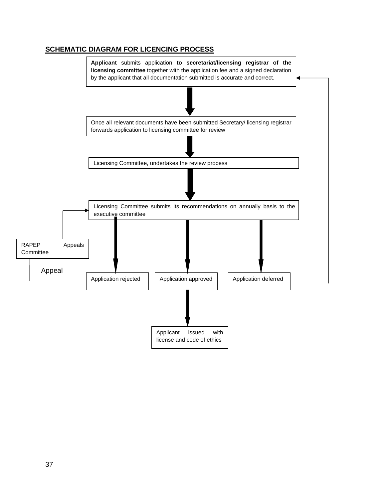## **SCHEMATIC DIAGRAM FOR LICENCING PROCESS**

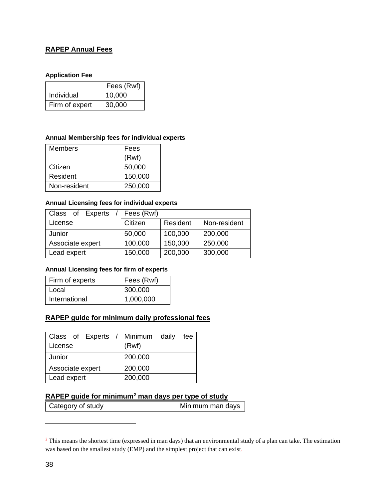# **RAPEP Annual Fees**

#### **Application Fee**

|                | Fees (Rwf) |
|----------------|------------|
| Individual     | 10,000     |
| Firm of expert | 30,000     |

#### **Annual Membership fees for individual experts**

| <b>Members</b> | Fees    |
|----------------|---------|
|                | (Rwf)   |
| Citizen        | 50,000  |
| Resident       | 150,000 |
| Non-resident   | 250,000 |

#### **Annual Licensing fees for individual experts**

| Class of Experts | Fees (Rwf) |          |              |
|------------------|------------|----------|--------------|
| License          | Citizen    | Resident | Non-resident |
| Junior           | 50,000     | 100,000  | 200,000      |
| Associate expert | 100,000    | 150,000  | 250,000      |
| Lead expert      | 150,000    | 200,000  | 300,000      |

#### **Annual Licensing fees for firm of experts**

| Firm of experts | Fees (Rwf) |
|-----------------|------------|
| Local           | 300,000    |
| International   | 1,000,000  |

#### **RAPEP guide for minimum daily professional fees**

| Class of Experts / Minimum daily | fee     |
|----------------------------------|---------|
| License                          | (Rwf)   |
| Junior                           | 200,000 |
| Associate expert                 | 200,000 |
| Lead expert                      | 200,000 |

#### **RAPEP guide for minimum<sup>2</sup> man days per type of study**

Category of study Minimum man days

<sup>&</sup>lt;sup>2</sup> This means the shortest time (expressed in man days) that an environmental study of a plan can take. The estimation was based on the smallest study (EMP) and the simplest project that can exist.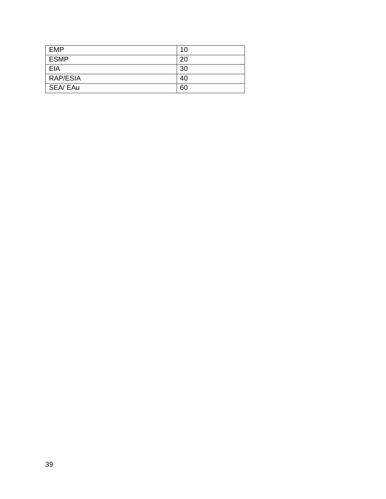| <b>EMP</b>  | 10 |
|-------------|----|
| <b>ESMP</b> | 20 |
| EIA         | 30 |
| RAP/ESIA    | 40 |
| SEA/ EAu    | 60 |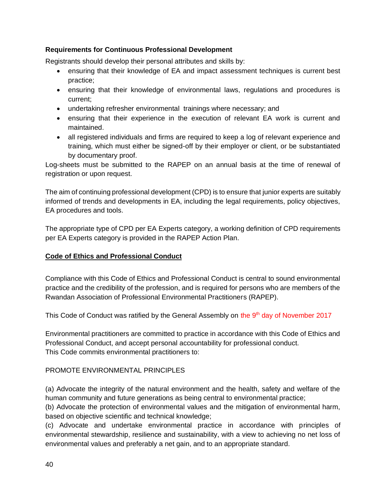#### **Requirements for Continuous Professional Development**

Registrants should develop their personal attributes and skills by:

- ensuring that their knowledge of EA and impact assessment techniques is current best practice;
- ensuring that their knowledge of environmental laws, regulations and procedures is current;
- undertaking refresher environmental trainings where necessary; and
- ensuring that their experience in the execution of relevant EA work is current and maintained.
- all registered individuals and firms are required to keep a log of relevant experience and training, which must either be signed-off by their employer or client, or be substantiated by documentary proof.

Log-sheets must be submitted to the RAPEP on an annual basis at the time of renewal of registration or upon request.

The aim of continuing professional development (CPD) is to ensure that junior experts are suitably informed of trends and developments in EA, including the legal requirements, policy objectives, EA procedures and tools.

The appropriate type of CPD per EA Experts category, a working definition of CPD requirements per EA Experts category is provided in the RAPEP Action Plan.

## **Code of Ethics and Professional Conduct**

Compliance with this Code of Ethics and Professional Conduct is central to sound environmental practice and the credibility of the profession, and is required for persons who are members of the Rwandan Association of Professional Environmental Practitioners (RAPEP).

This Code of Conduct was ratified by the General Assembly on the 9<sup>th</sup> day of November 2017

Environmental practitioners are committed to practice in accordance with this Code of Ethics and Professional Conduct, and accept personal accountability for professional conduct. This Code commits environmental practitioners to:

#### PROMOTE ENVIRONMENTAL PRINCIPLES

(a) Advocate the integrity of the natural environment and the health, safety and welfare of the human community and future generations as being central to environmental practice;

(b) Advocate the protection of environmental values and the mitigation of environmental harm, based on objective scientific and technical knowledge;

(c) Advocate and undertake environmental practice in accordance with principles of environmental stewardship, resilience and sustainability, with a view to achieving no net loss of environmental values and preferably a net gain, and to an appropriate standard.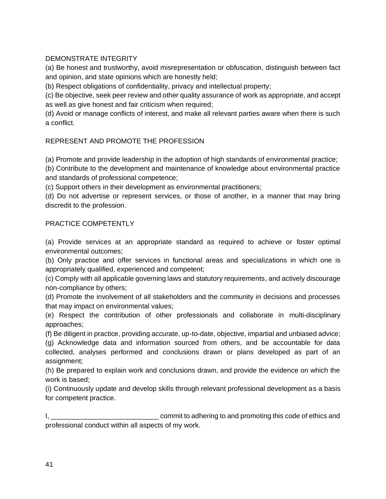## DEMONSTRATE INTEGRITY

(a) Be honest and trustworthy, avoid misrepresentation or obfuscation, distinguish between fact and opinion, and state opinions which are honestly held;

(b) Respect obligations of confidentiality, privacy and intellectual property;

(c) Be objective, seek peer review and other quality assurance of work as appropriate, and accept as well as give honest and fair criticism when required;

(d) Avoid or manage conflicts of interest, and make all relevant parties aware when there is such a conflict.

# REPRESENT AND PROMOTE THE PROFESSION

(a) Promote and provide leadership in the adoption of high standards of environmental practice;

(b) Contribute to the development and maintenance of knowledge about environmental practice and standards of professional competence;

(c) Support others in their development as environmental practitioners;

(d) Do not advertise or represent services, or those of another, in a manner that may bring discredit to the profession.

## PRACTICE COMPETENTLY

(a) Provide services at an appropriate standard as required to achieve or foster optimal environmental outcomes;

(b) Only practice and offer services in functional areas and specializations in which one is appropriately qualified, experienced and competent;

(c) Comply with all applicable governing laws and statutory requirements, and actively discourage non-compliance by others;

(d) Promote the involvement of all stakeholders and the community in decisions and processes that may impact on environmental values;

(e) Respect the contribution of other professionals and collaborate in multi-disciplinary approaches;

(f) Be diligent in practice, providing accurate, up-to-date, objective, impartial and unbiased advice;

(g) Acknowledge data and information sourced from others, and be accountable for data collected, analyses performed and conclusions drawn or plans developed as part of an assignment;

(h) Be prepared to explain work and conclusions drawn, and provide the evidence on which the work is based;

(i) Continuously update and develop skills through relevant professional development as a basis for competent practice.

I, \_\_\_\_\_\_\_\_\_\_\_\_\_\_\_\_\_\_\_\_\_\_\_\_\_\_\_\_ commit to adhering to and promoting this code of ethics and professional conduct within all aspects of my work.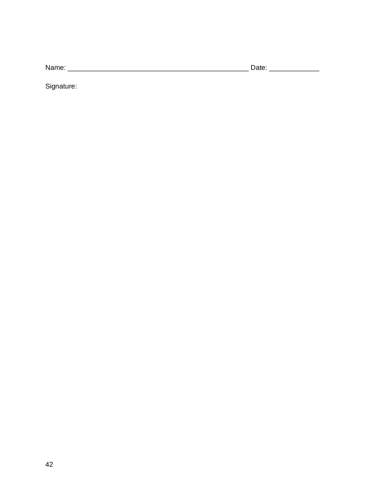Signature: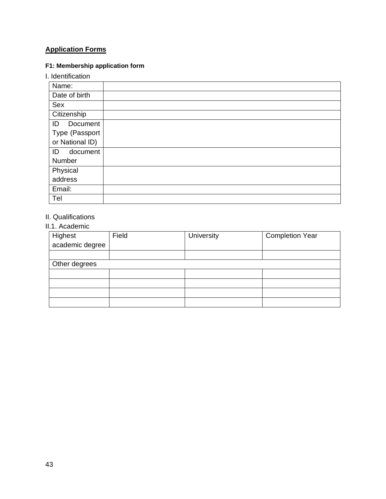# **Application Forms**

# **F1: Membership application form**

## I. Identification

| Name:           |  |
|-----------------|--|
| Date of birth   |  |
| Sex             |  |
| Citizenship     |  |
| Document<br>ID  |  |
| Type (Passport  |  |
| or National ID) |  |
| ID<br>document  |  |
| Number          |  |
| Physical        |  |
| address         |  |
| Email:          |  |
| Tel             |  |

# II. Qualifications

# II.1. Academic

| Highest<br>academic degree | Field | University | <b>Completion Year</b> |  |  |
|----------------------------|-------|------------|------------------------|--|--|
|                            |       |            |                        |  |  |
| Other degrees              |       |            |                        |  |  |
|                            |       |            |                        |  |  |
|                            |       |            |                        |  |  |
|                            |       |            |                        |  |  |
|                            |       |            |                        |  |  |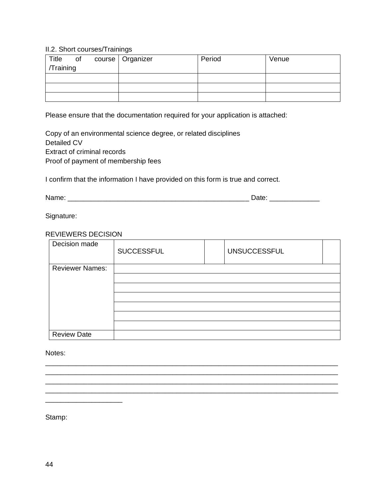#### II.2. Short courses/Trainings

| Title     | $\circ$ of | course   Organizer | Period | Venue |
|-----------|------------|--------------------|--------|-------|
| /Training |            |                    |        |       |
|           |            |                    |        |       |
|           |            |                    |        |       |
|           |            |                    |        |       |

Please ensure that the documentation required for your application is attached:

Copy of an environmental science degree, or related disciplines Detailed CV Extract of criminal records Proof of payment of membership fees

I confirm that the information I have provided on this form is true and correct.

Name: \_\_\_\_\_\_\_\_\_\_\_\_\_\_\_\_\_\_\_\_\_\_\_\_\_\_\_\_\_\_\_\_\_\_\_\_\_\_\_\_\_\_\_\_\_\_\_ Date: \_\_\_\_\_\_\_\_\_\_\_\_\_

Signature:

#### REVIEWERS DECISION

| Decision made          | <b>SUCCESSFUL</b> | <b>UNSUCCESSFUL</b> |  |
|------------------------|-------------------|---------------------|--|
| <b>Reviewer Names:</b> |                   |                     |  |
|                        |                   |                     |  |
|                        |                   |                     |  |
|                        |                   |                     |  |
|                        |                   |                     |  |
|                        |                   |                     |  |
|                        |                   |                     |  |
| <b>Review Date</b>     |                   |                     |  |

\_\_\_\_\_\_\_\_\_\_\_\_\_\_\_\_\_\_\_\_\_\_\_\_\_\_\_\_\_\_\_\_\_\_\_\_\_\_\_\_\_\_\_\_\_\_\_\_\_\_\_\_\_\_\_\_\_\_\_\_\_\_\_\_\_\_\_\_\_\_\_\_\_\_\_\_ \_\_\_\_\_\_\_\_\_\_\_\_\_\_\_\_\_\_\_\_\_\_\_\_\_\_\_\_\_\_\_\_\_\_\_\_\_\_\_\_\_\_\_\_\_\_\_\_\_\_\_\_\_\_\_\_\_\_\_\_\_\_\_\_\_\_\_\_\_\_\_\_\_\_\_\_ \_\_\_\_\_\_\_\_\_\_\_\_\_\_\_\_\_\_\_\_\_\_\_\_\_\_\_\_\_\_\_\_\_\_\_\_\_\_\_\_\_\_\_\_\_\_\_\_\_\_\_\_\_\_\_\_\_\_\_\_\_\_\_\_\_\_\_\_\_\_\_\_\_\_\_\_ \_\_\_\_\_\_\_\_\_\_\_\_\_\_\_\_\_\_\_\_\_\_\_\_\_\_\_\_\_\_\_\_\_\_\_\_\_\_\_\_\_\_\_\_\_\_\_\_\_\_\_\_\_\_\_\_\_\_\_\_\_\_\_\_\_\_\_\_\_\_\_\_\_\_\_\_

Notes:

Stamp:

\_\_\_\_\_\_\_\_\_\_\_\_\_\_\_\_\_\_\_\_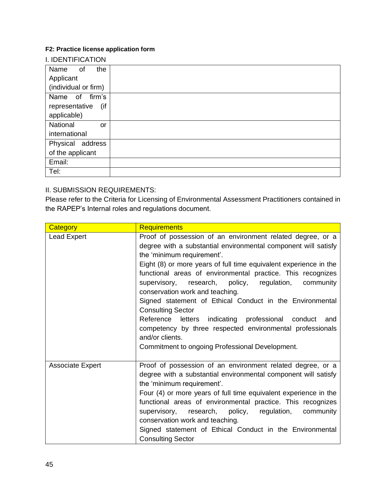## **F2: Practice license application form**

| Name of              | the       |
|----------------------|-----------|
| Applicant            |           |
| (individual or firm) |           |
| Name of firm's       |           |
| representative       | (if       |
| applicable)          |           |
| National             | <b>or</b> |
| international        |           |
| Physical address     |           |
| of the applicant     |           |
| Email:               |           |
| Tel:                 |           |

# II. SUBMISSION REQUIREMENTS:

Please refer to the Criteria for Licensing of Environmental Assessment Practitioners contained in the RAPEP's Internal roles and regulations document.

| Category                | <b>Requirements</b>                                                                                                                                                                                                                                                                                                                                                                                                                                                                                                                                                                                                                                                              |
|-------------------------|----------------------------------------------------------------------------------------------------------------------------------------------------------------------------------------------------------------------------------------------------------------------------------------------------------------------------------------------------------------------------------------------------------------------------------------------------------------------------------------------------------------------------------------------------------------------------------------------------------------------------------------------------------------------------------|
| <b>Lead Expert</b>      | Proof of possession of an environment related degree, or a<br>degree with a substantial environmental component will satisfy<br>the 'minimum requirement'.<br>Eight (8) or more years of full time equivalent experience in the<br>functional areas of environmental practice. This recognizes<br>supervisory, research, policy, regulation,<br>community<br>conservation work and teaching.<br>Signed statement of Ethical Conduct in the Environmental<br><b>Consulting Sector</b><br>Reference letters indicating professional conduct and<br>competency by three respected environmental professionals<br>and/or clients.<br>Commitment to ongoing Professional Development. |
| <b>Associate Expert</b> | Proof of possession of an environment related degree, or a<br>degree with a substantial environmental component will satisfy<br>the 'minimum requirement'.<br>Four (4) or more years of full time equivalent experience in the<br>functional areas of environmental practice. This recognizes<br>supervisory, research, policy, regulation, community<br>conservation work and teaching.<br>Signed statement of Ethical Conduct in the Environmental<br><b>Consulting Sector</b>                                                                                                                                                                                                 |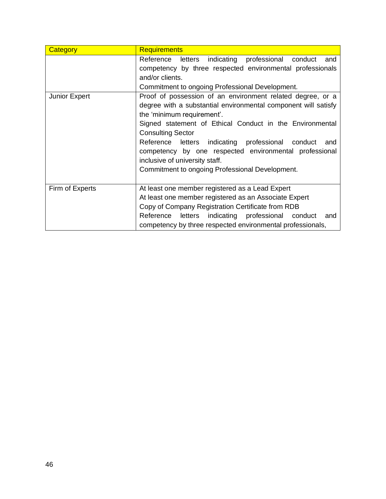| Category        | <b>Requirements</b>                                            |  |  |  |  |  |
|-----------------|----------------------------------------------------------------|--|--|--|--|--|
|                 | letters indicating professional<br>Reference<br>conduct<br>and |  |  |  |  |  |
|                 | competency by three respected environmental professionals      |  |  |  |  |  |
|                 | and/or clients.                                                |  |  |  |  |  |
|                 | Commitment to ongoing Professional Development.                |  |  |  |  |  |
| Junior Expert   | Proof of possession of an environment related degree, or a     |  |  |  |  |  |
|                 | degree with a substantial environmental component will satisfy |  |  |  |  |  |
|                 | the 'minimum requirement'.                                     |  |  |  |  |  |
|                 | Signed statement of Ethical Conduct in the Environmental       |  |  |  |  |  |
|                 | <b>Consulting Sector</b>                                       |  |  |  |  |  |
|                 | Reference letters indicating professional conduct<br>and       |  |  |  |  |  |
|                 | competency by one respected environmental professional         |  |  |  |  |  |
|                 | inclusive of university staff.                                 |  |  |  |  |  |
|                 | Commitment to ongoing Professional Development.                |  |  |  |  |  |
|                 |                                                                |  |  |  |  |  |
| Firm of Experts | At least one member registered as a Lead Expert                |  |  |  |  |  |
|                 | At least one member registered as an Associate Expert          |  |  |  |  |  |
|                 | Copy of Company Registration Certificate from RDB              |  |  |  |  |  |
|                 | Reference letters indicating professional conduct<br>and       |  |  |  |  |  |
|                 | competency by three respected environmental professionals,     |  |  |  |  |  |